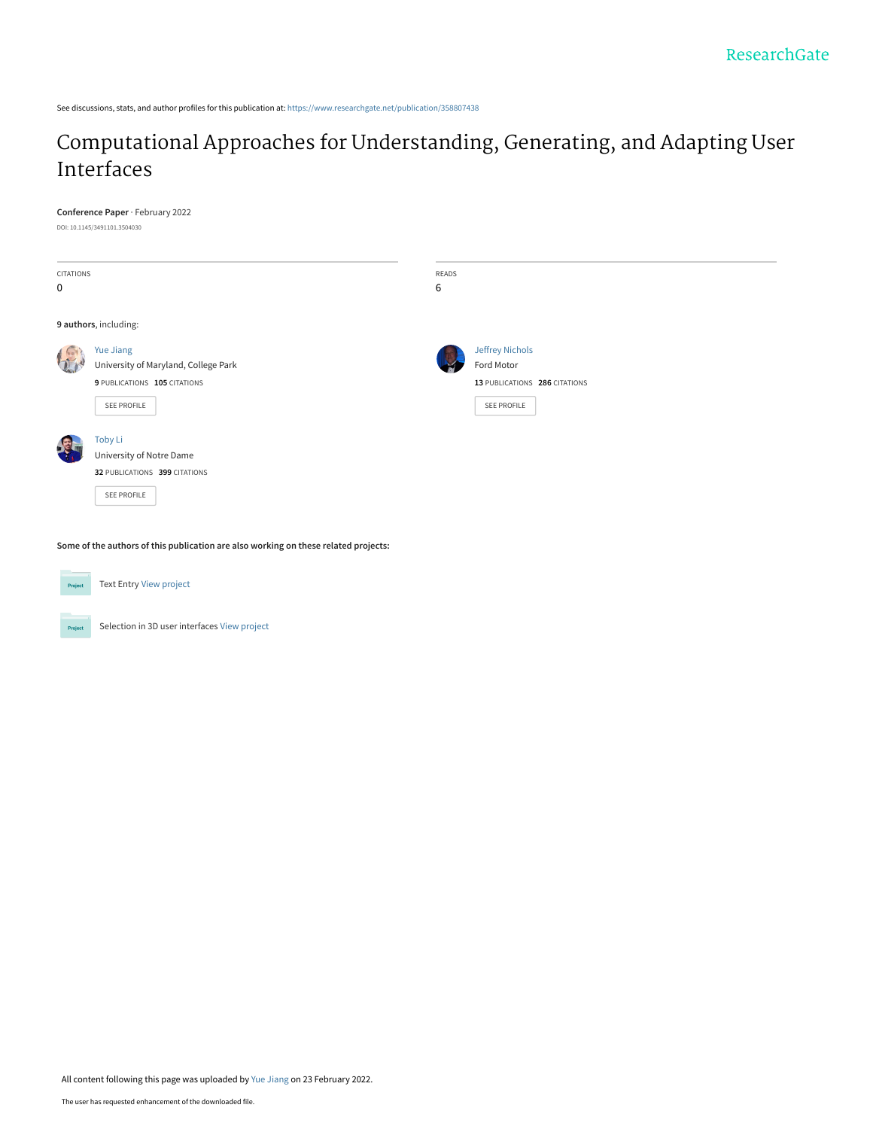See discussions, stats, and author profiles for this publication at: [https://www.researchgate.net/publication/358807438](https://www.researchgate.net/publication/358807438_Computational_Approaches_for_Understanding_Generating_and_Adapting_User_Interfaces?enrichId=rgreq-8586f466060266190d8577651f82bebb-XXX&enrichSource=Y292ZXJQYWdlOzM1ODgwNzQzODtBUzoxMTI2NzMzMzg2Mzg3NDU4QDE2NDU2NDU1ODE5Mjk%3D&el=1_x_2&_esc=publicationCoverPdf)

# [Computational Approaches for Understanding, Generating, and Adapting User](https://www.researchgate.net/publication/358807438_Computational_Approaches_for_Understanding_Generating_and_Adapting_User_Interfaces?enrichId=rgreq-8586f466060266190d8577651f82bebb-XXX&enrichSource=Y292ZXJQYWdlOzM1ODgwNzQzODtBUzoxMTI2NzMzMzg2Mzg3NDU4QDE2NDU2NDU1ODE5Mjk%3D&el=1_x_3&_esc=publicationCoverPdf) Interfaces

#### **Conference Paper** · February 2022

DOI: 10.1145/3491101.3504030

| CITATIONS<br>0        |                                                                                                         | READS<br>6 |                                                                                      |  |
|-----------------------|---------------------------------------------------------------------------------------------------------|------------|--------------------------------------------------------------------------------------|--|
| 9 authors, including: |                                                                                                         |            |                                                                                      |  |
|                       | <b>Yue Jiang</b><br>University of Maryland, College Park<br>9 PUBLICATIONS 105 CITATIONS<br>SEE PROFILE |            | <b>Jeffrey Nichols</b><br>Ford Motor<br>13 PUBLICATIONS 286 CITATIONS<br>SEE PROFILE |  |
|                       | Toby Li<br>University of Notre Dame<br>32 PUBLICATIONS 399 CITATIONS<br>SEE PROFILE                     |            |                                                                                      |  |

**Some of the authors of this publication are also working on these related projects:**



Text Entry [View project](https://www.researchgate.net/project/Text-Entry-2?enrichId=rgreq-8586f466060266190d8577651f82bebb-XXX&enrichSource=Y292ZXJQYWdlOzM1ODgwNzQzODtBUzoxMTI2NzMzMzg2Mzg3NDU4QDE2NDU2NDU1ODE5Mjk%3D&el=1_x_9&_esc=publicationCoverPdf)



Selection in 3D user interfaces [View project](https://www.researchgate.net/project/Selection-in-3D-user-interfaces?enrichId=rgreq-8586f466060266190d8577651f82bebb-XXX&enrichSource=Y292ZXJQYWdlOzM1ODgwNzQzODtBUzoxMTI2NzMzMzg2Mzg3NDU4QDE2NDU2NDU1ODE5Mjk%3D&el=1_x_9&_esc=publicationCoverPdf)

All content following this page was uploaded by [Yue Jiang](https://www.researchgate.net/profile/Yue-Jiang-5?enrichId=rgreq-8586f466060266190d8577651f82bebb-XXX&enrichSource=Y292ZXJQYWdlOzM1ODgwNzQzODtBUzoxMTI2NzMzMzg2Mzg3NDU4QDE2NDU2NDU1ODE5Mjk%3D&el=1_x_10&_esc=publicationCoverPdf) on 23 February 2022.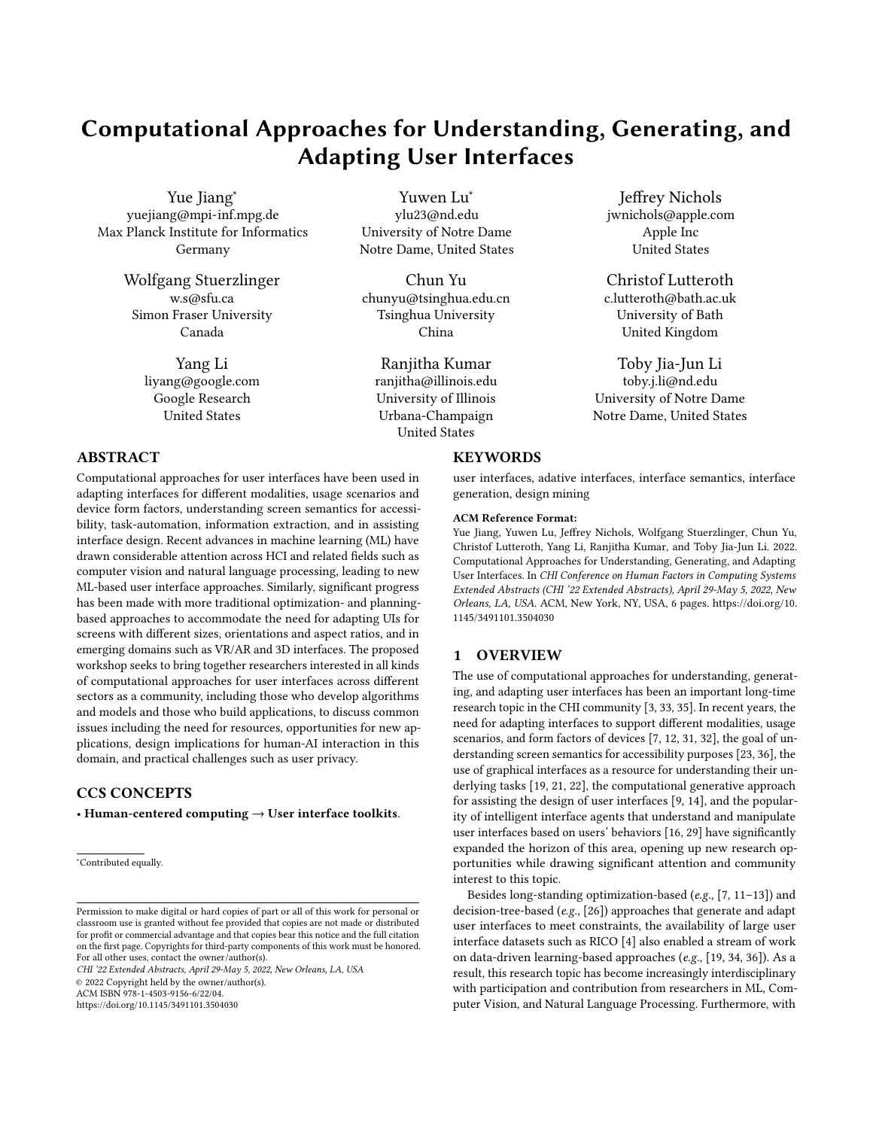# Computational Approaches for Understanding, Generating, and Adapting User Interfaces

Yue Jiang<sup>∗</sup> yuejiang@mpi-inf.mpg.de Max Planck Institute for Informatics Germany

> Wolfgang Stuerzlinger w.s@sfu.ca Simon Fraser University Canada

> > Yang Li liyang@google.com Google Research United States

# ABSTRACT

Computational approaches for user interfaces have been used in adapting interfaces for different modalities, usage scenarios and device form factors, understanding screen semantics for accessibility, task-automation, information extraction, and in assisting interface design. Recent advances in machine learning (ML) have drawn considerable attention across HCI and related fields such as computer vision and natural language processing, leading to new ML-based user interface approaches. Similarly, significant progress has been made with more traditional optimization- and planningbased approaches to accommodate the need for adapting UIs for screens with different sizes, orientations and aspect ratios, and in emerging domains such as VR/AR and 3D interfaces. The proposed workshop seeks to bring together researchers interested in all kinds of computational approaches for user interfaces across different sectors as a community, including those who develop algorithms and models and those who build applications, to discuss common issues including the need for resources, opportunities for new applications, design implications for human-AI interaction in this domain, and practical challenges such as user privacy.

# CCS CONCEPTS

• Human-centered computing  $\rightarrow$  User interface toolkits.

CHI '22 Extended Abstracts, April 29-May 5, 2022, New Orleans, LA, USA

© 2022 Copyright held by the owner/author(s).

ACM ISBN 978-1-4503-9156-6/22/04.

<https://doi.org/10.1145/3491101.3504030>

Yuwen Lu<sup>∗</sup> ylu23@nd.edu University of Notre Dame Notre Dame, United States

Chun Yu chunyu@tsinghua.edu.cn Tsinghua University China

Ranjitha Kumar ranjitha@illinois.edu University of Illinois Urbana-Champaign United States

# **KEYWORDS**

user interfaces, adative interfaces, interface semantics, interface generation, design mining

Jeffrey Nichols jwnichols@apple.com Apple Inc United States

Christof Lutteroth c.lutteroth@bath.ac.uk University of Bath United Kingdom

Toby Jia-Jun Li toby.j.li@nd.edu University of Notre Dame Notre Dame, United States

#### ACM Reference Format:

Yue Jiang, Yuwen Lu, Jeffrey Nichols, Wolfgang Stuerzlinger, Chun Yu, Christof Lutteroth, Yang Li, Ranjitha Kumar, and Toby Jia-Jun Li. 2022. Computational Approaches for Understanding, Generating, and Adapting User Interfaces. In CHI Conference on Human Factors in Computing Systems Extended Abstracts (CHI '22 Extended Abstracts), April 29-May 5, 2022, New Orleans, LA, USA. ACM, New York, NY, USA, [6](#page-6-0) pages. [https://doi.org/10.](https://doi.org/10.1145/3491101.3504030) [1145/3491101.3504030](https://doi.org/10.1145/3491101.3504030)

#### 1 OVERVIEW

The use of computational approaches for understanding, generating, and adapting user interfaces has been an important long-time research topic in the CHI community [\[3,](#page-5-0) [33,](#page-6-1) [35\]](#page-6-2). In recent years, the need for adapting interfaces to support different modalities, usage scenarios, and form factors of devices [\[7,](#page-5-1) [12,](#page-5-2) [31,](#page-6-3) [32\]](#page-6-4), the goal of understanding screen semantics for accessibility purposes [\[23,](#page-6-5) [36\]](#page-6-6), the use of graphical interfaces as a resource for understanding their underlying tasks [\[19,](#page-5-3) [21,](#page-6-7) [22\]](#page-6-8), the computational generative approach for assisting the design of user interfaces [\[9,](#page-5-4) [14\]](#page-5-5), and the popularity of intelligent interface agents that understand and manipulate user interfaces based on users' behaviors [\[16,](#page-5-6) [29\]](#page-6-9) have significantly expanded the horizon of this area, opening up new research opportunities while drawing significant attention and community interest to this topic.

Besides long-standing optimization-based (e.g., [\[7,](#page-5-1) [11](#page-5-7)[–13\]](#page-5-8)) and decision-tree-based (e.g., [\[26\]](#page-6-10)) approaches that generate and adapt user interfaces to meet constraints, the availability of large user interface datasets such as RICO [\[4\]](#page-5-9) also enabled a stream of work on data-driven learning-based approaches (e.g., [\[19,](#page-5-3) [34,](#page-6-11) [36\]](#page-6-6)). As a result, this research topic has become increasingly interdisciplinary with participation and contribution from researchers in ML, Computer Vision, and Natural Language Processing. Furthermore, with

<sup>∗</sup>Contributed equally.

Permission to make digital or hard copies of part or all of this work for personal or classroom use is granted without fee provided that copies are not made or distributed for profit or commercial advantage and that copies bear this notice and the full citation on the first page. Copyrights for third-party components of this work must be honored. For all other uses, contact the owner/author(s).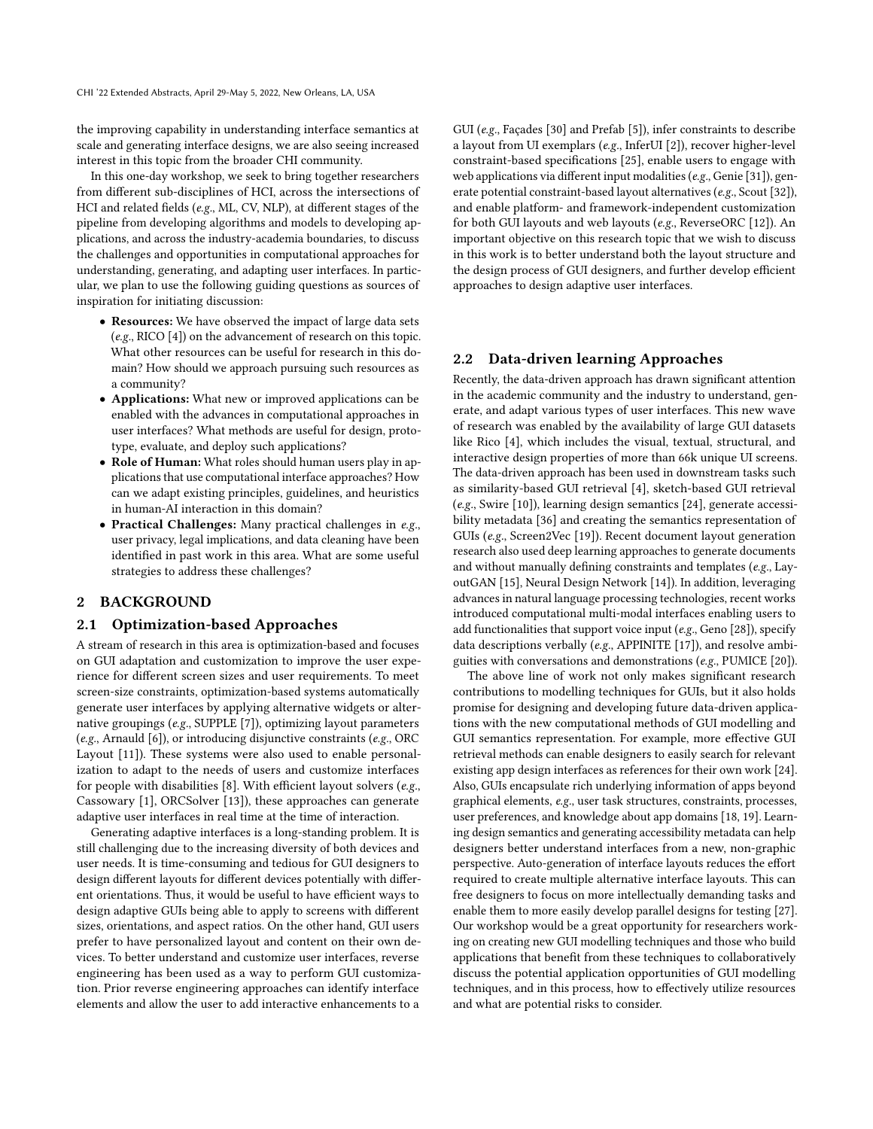the improving capability in understanding interface semantics at scale and generating interface designs, we are also seeing increased interest in this topic from the broader CHI community.

In this one-day workshop, we seek to bring together researchers from different sub-disciplines of HCI, across the intersections of HCI and related fields (e.g., ML, CV, NLP), at different stages of the pipeline from developing algorithms and models to developing applications, and across the industry-academia boundaries, to discuss the challenges and opportunities in computational approaches for understanding, generating, and adapting user interfaces. In particular, we plan to use the following guiding questions as sources of inspiration for initiating discussion:

- Resources: We have observed the impact of large data sets (e.g., RICO [\[4\]](#page-5-9)) on the advancement of research on this topic. What other resources can be useful for research in this domain? How should we approach pursuing such resources as a community?
- Applications: What new or improved applications can be enabled with the advances in computational approaches in user interfaces? What methods are useful for design, prototype, evaluate, and deploy such applications?
- Role of Human: What roles should human users play in applications that use computational interface approaches? How can we adapt existing principles, guidelines, and heuristics in human-AI interaction in this domain?
- Practical Challenges: Many practical challenges in e.g., user privacy, legal implications, and data cleaning have been identified in past work in this area. What are some useful strategies to address these challenges?

# 2 BACKGROUND

#### 2.1 Optimization-based Approaches

A stream of research in this area is optimization-based and focuses on GUI adaptation and customization to improve the user experience for different screen sizes and user requirements. To meet screen-size constraints, optimization-based systems automatically generate user interfaces by applying alternative widgets or alternative groupings (e.g., SUPPLE [\[7\]](#page-5-1)), optimizing layout parameters (e.g., Arnauld [\[6\]](#page-5-10)), or introducing disjunctive constraints (e.g., ORC Layout [\[11\]](#page-5-7)). These systems were also used to enable personalization to adapt to the needs of users and customize interfaces for people with disabilities [\[8\]](#page-5-11). With efficient layout solvers (e.g., Cassowary [\[1\]](#page-5-12), ORCSolver [\[13\]](#page-5-8)), these approaches can generate adaptive user interfaces in real time at the time of interaction.

Generating adaptive interfaces is a long-standing problem. It is still challenging due to the increasing diversity of both devices and user needs. It is time-consuming and tedious for GUI designers to design different layouts for different devices potentially with different orientations. Thus, it would be useful to have efficient ways to design adaptive GUIs being able to apply to screens with different sizes, orientations, and aspect ratios. On the other hand, GUI users prefer to have personalized layout and content on their own devices. To better understand and customize user interfaces, reverse engineering has been used as a way to perform GUI customization. Prior reverse engineering approaches can identify interface elements and allow the user to add interactive enhancements to a

GUI (e.g., Façades [\[30\]](#page-6-12) and Prefab [\[5\]](#page-5-13)), infer constraints to describe a layout from UI exemplars (e.g., InferUI [\[2\]](#page-5-14)), recover higher-level constraint-based specifications [\[25\]](#page-6-13), enable users to engage with web applications via different input modalities (e.g., Genie [\[31\]](#page-6-3)), generate potential constraint-based layout alternatives (e.g., Scout [\[32\]](#page-6-4)), and enable platform- and framework-independent customization for both GUI layouts and web layouts (e.g., ReverseORC [\[12\]](#page-5-2)). An important objective on this research topic that we wish to discuss in this work is to better understand both the layout structure and the design process of GUI designers, and further develop efficient approaches to design adaptive user interfaces.

#### 2.2 Data-driven learning Approaches

Recently, the data-driven approach has drawn significant attention in the academic community and the industry to understand, generate, and adapt various types of user interfaces. This new wave of research was enabled by the availability of large GUI datasets like Rico [\[4\]](#page-5-9), which includes the visual, textual, structural, and interactive design properties of more than 66k unique UI screens. The data-driven approach has been used in downstream tasks such as similarity-based GUI retrieval [\[4\]](#page-5-9), sketch-based GUI retrieval (e.g., Swire [\[10\]](#page-5-15)), learning design semantics [\[24\]](#page-6-14), generate accessibility metadata [\[36\]](#page-6-6) and creating the semantics representation of GUIs (e.g., Screen2Vec [\[19\]](#page-5-3)). Recent document layout generation research also used deep learning approaches to generate documents and without manually defining constraints and templates (e.g., LayoutGAN [\[15\]](#page-5-16), Neural Design Network [\[14\]](#page-5-5)). In addition, leveraging advances in natural language processing technologies, recent works introduced computational multi-modal interfaces enabling users to add functionalities that support voice input ( $e.g.,$  Geno [\[28\]](#page-6-15)), specify data descriptions verbally (e.g., APPINITE [\[17\]](#page-5-17)), and resolve ambiguities with conversations and demonstrations (e.g., PUMICE [\[20\]](#page-5-18)).

The above line of work not only makes significant research contributions to modelling techniques for GUIs, but it also holds promise for designing and developing future data-driven applications with the new computational methods of GUI modelling and GUI semantics representation. For example, more effective GUI retrieval methods can enable designers to easily search for relevant existing app design interfaces as references for their own work [\[24\]](#page-6-14). Also, GUIs encapsulate rich underlying information of apps beyond graphical elements, e.g., user task structures, constraints, processes, user preferences, and knowledge about app domains [\[18,](#page-5-19) [19\]](#page-5-3). Learning design semantics and generating accessibility metadata can help designers better understand interfaces from a new, non-graphic perspective. Auto-generation of interface layouts reduces the effort required to create multiple alternative interface layouts. This can free designers to focus on more intellectually demanding tasks and enable them to more easily develop parallel designs for testing [\[27\]](#page-6-16). Our workshop would be a great opportunity for researchers working on creating new GUI modelling techniques and those who build applications that benefit from these techniques to collaboratively discuss the potential application opportunities of GUI modelling techniques, and in this process, how to effectively utilize resources and what are potential risks to consider.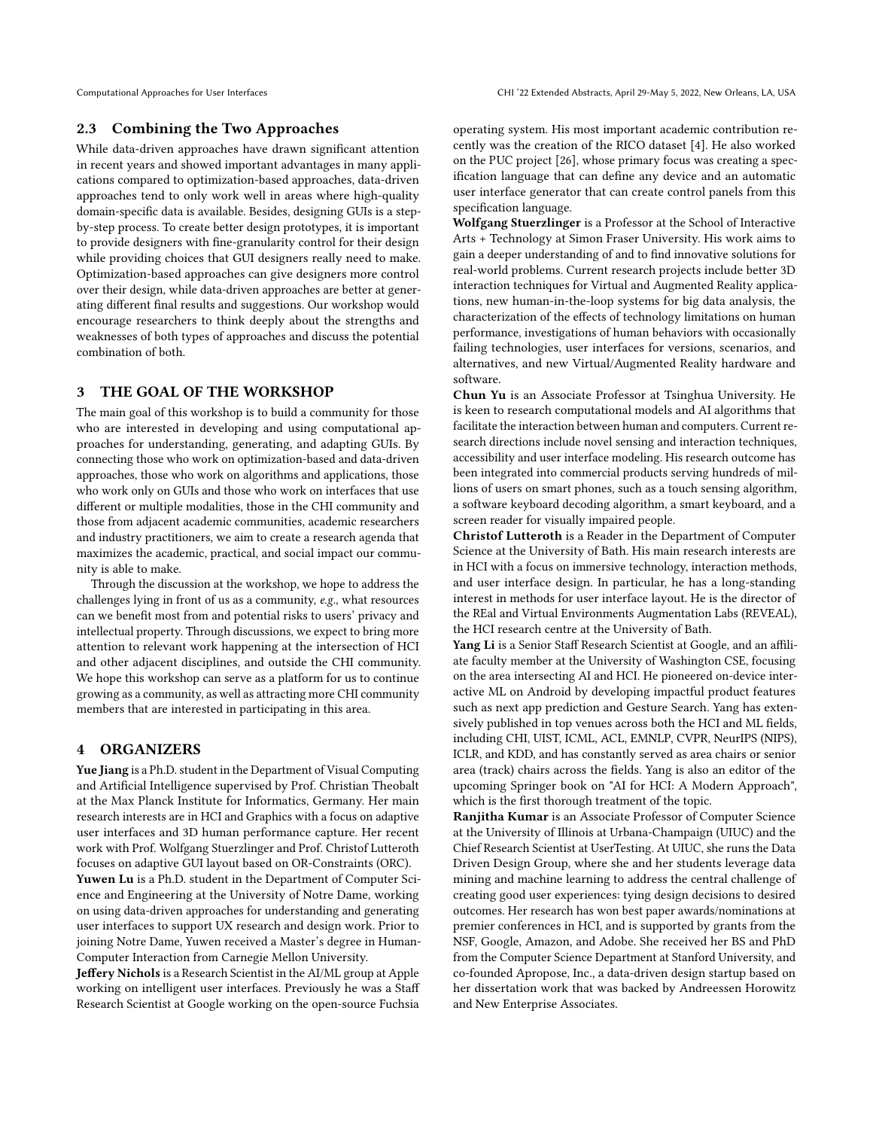# 2.3 Combining the Two Approaches

While data-driven approaches have drawn significant attention in recent years and showed important advantages in many applications compared to optimization-based approaches, data-driven approaches tend to only work well in areas where high-quality domain-specific data is available. Besides, designing GUIs is a stepby-step process. To create better design prototypes, it is important to provide designers with fine-granularity control for their design while providing choices that GUI designers really need to make. Optimization-based approaches can give designers more control over their design, while data-driven approaches are better at generating different final results and suggestions. Our workshop would encourage researchers to think deeply about the strengths and weaknesses of both types of approaches and discuss the potential combination of both.

# 3 THE GOAL OF THE WORKSHOP

The main goal of this workshop is to build a community for those who are interested in developing and using computational approaches for understanding, generating, and adapting GUIs. By connecting those who work on optimization-based and data-driven approaches, those who work on algorithms and applications, those who work only on GUIs and those who work on interfaces that use different or multiple modalities, those in the CHI community and those from adjacent academic communities, academic researchers and industry practitioners, we aim to create a research agenda that maximizes the academic, practical, and social impact our community is able to make.

Through the discussion at the workshop, we hope to address the challenges lying in front of us as a community, e.g., what resources can we benefit most from and potential risks to users' privacy and intellectual property. Through discussions, we expect to bring more attention to relevant work happening at the intersection of HCI and other adjacent disciplines, and outside the CHI community. We hope this workshop can serve as a platform for us to continue growing as a community, as well as attracting more CHI community members that are interested in participating in this area.

#### 4 ORGANIZERS

Yue Jiang is a Ph.D. student in the Department of Visual Computing and Artificial Intelligence supervised by Prof. Christian Theobalt at the Max Planck Institute for Informatics, Germany. Her main research interests are in HCI and Graphics with a focus on adaptive user interfaces and 3D human performance capture. Her recent work with Prof. Wolfgang Stuerzlinger and Prof. Christof Lutteroth focuses on adaptive GUI layout based on OR-Constraints (ORC).

Yuwen Lu is a Ph.D. student in the Department of Computer Science and Engineering at the University of Notre Dame, working on using data-driven approaches for understanding and generating user interfaces to support UX research and design work. Prior to joining Notre Dame, Yuwen received a Master's degree in Human-Computer Interaction from Carnegie Mellon University.

Jeffery Nichols is a Research Scientist in the AI/ML group at Apple working on intelligent user interfaces. Previously he was a Staff Research Scientist at Google working on the open-source Fuchsia operating system. His most important academic contribution recently was the creation of the RICO dataset [\[4\]](#page-5-9). He also worked on the PUC project [\[26\]](#page-6-10), whose primary focus was creating a specification language that can define any device and an automatic user interface generator that can create control panels from this specification language.

Wolfgang Stuerzlinger is a Professor at the School of Interactive Arts + Technology at Simon Fraser University. His work aims to gain a deeper understanding of and to find innovative solutions for real-world problems. Current research projects include better 3D interaction techniques for Virtual and Augmented Reality applications, new human-in-the-loop systems for big data analysis, the characterization of the effects of technology limitations on human performance, investigations of human behaviors with occasionally failing technologies, user interfaces for versions, scenarios, and alternatives, and new Virtual/Augmented Reality hardware and software.

Chun Yu is an Associate Professor at Tsinghua University. He is keen to research computational models and AI algorithms that facilitate the interaction between human and computers. Current research directions include novel sensing and interaction techniques, accessibility and user interface modeling. His research outcome has been integrated into commercial products serving hundreds of millions of users on smart phones, such as a touch sensing algorithm, a software keyboard decoding algorithm, a smart keyboard, and a screen reader for visually impaired people.

Christof Lutteroth is a Reader in the Department of Computer Science at the University of Bath. His main research interests are in HCI with a focus on immersive technology, interaction methods, and user interface design. In particular, he has a long-standing interest in methods for user interface layout. He is the director of the REal and Virtual Environments Augmentation Labs (REVEAL), the HCI research centre at the University of Bath.

Yang Li is a Senior Staff Research Scientist at Google, and an affiliate faculty member at the University of Washington CSE, focusing on the area intersecting AI and HCI. He pioneered on-device interactive ML on Android by developing impactful product features such as next app prediction and Gesture Search. Yang has extensively published in top venues across both the HCI and ML fields, including CHI, UIST, ICML, ACL, EMNLP, CVPR, NeurIPS (NIPS), ICLR, and KDD, and has constantly served as area chairs or senior area (track) chairs across the fields. Yang is also an editor of the upcoming Springer book on "AI for HCI: A Modern Approach", which is the first thorough treatment of the topic.

Ranjitha Kumar is an Associate Professor of Computer Science at the University of Illinois at Urbana-Champaign (UIUC) and the Chief Research Scientist at UserTesting. At UIUC, she runs the Data Driven Design Group, where she and her students leverage data mining and machine learning to address the central challenge of creating good user experiences: tying design decisions to desired outcomes. Her research has won best paper awards/nominations at premier conferences in HCI, and is supported by grants from the NSF, Google, Amazon, and Adobe. She received her BS and PhD from the Computer Science Department at Stanford University, and co-founded Apropose, Inc., a data-driven design startup based on her dissertation work that was backed by Andreessen Horowitz and New Enterprise Associates.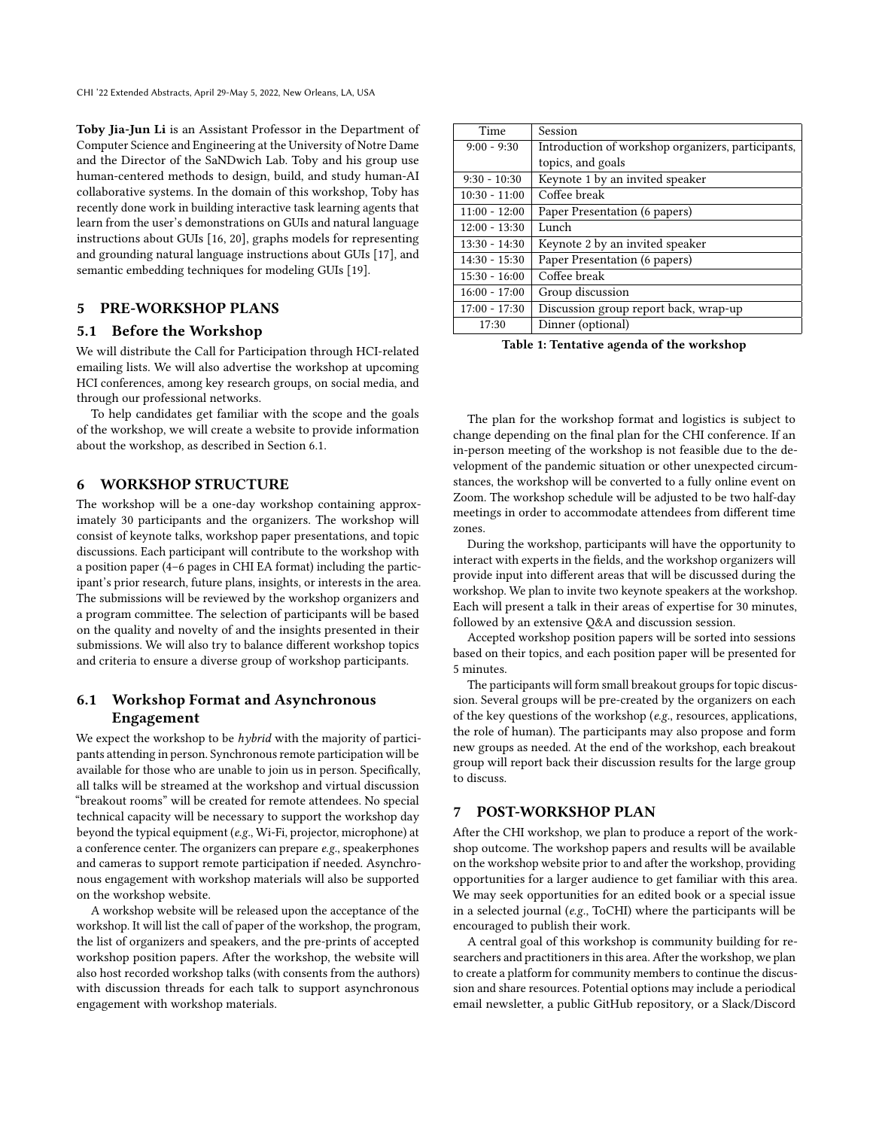Toby Jia-Jun Li is an Assistant Professor in the Department of Computer Science and Engineering at the University of Notre Dame and the Director of the SaNDwich Lab. Toby and his group use human-centered methods to design, build, and study human-AI collaborative systems. In the domain of this workshop, Toby has recently done work in building interactive task learning agents that learn from the user's demonstrations on GUIs and natural language instructions about GUIs [\[16,](#page-5-6) [20\]](#page-5-18), graphs models for representing and grounding natural language instructions about GUIs [\[17\]](#page-5-17), and semantic embedding techniques for modeling GUIs [\[19\]](#page-5-3).

# 5 PRE-WORKSHOP PLANS

#### 5.1 Before the Workshop

We will distribute the Call for Participation through HCI-related emailing lists. We will also advertise the workshop at upcoming HCI conferences, among key research groups, on social media, and through our professional networks.

To help candidates get familiar with the scope and the goals of the workshop, we will create a website to provide information about the workshop, as described in Section [6.1.](#page-4-0)

# 6 WORKSHOP STRUCTURE

The workshop will be a one-day workshop containing approximately 30 participants and the organizers. The workshop will consist of keynote talks, workshop paper presentations, and topic discussions. Each participant will contribute to the workshop with a position paper (4–6 pages in CHI EA format) including the participant's prior research, future plans, insights, or interests in the area. The submissions will be reviewed by the workshop organizers and a program committee. The selection of participants will be based on the quality and novelty of and the insights presented in their submissions. We will also try to balance different workshop topics and criteria to ensure a diverse group of workshop participants.

# <span id="page-4-0"></span>6.1 Workshop Format and Asynchronous Engagement

We expect the workshop to be  $hybrid$  with the majority of participants attending in person. Synchronous remote participation will be available for those who are unable to join us in person. Specifically, all talks will be streamed at the workshop and virtual discussion "breakout rooms" will be created for remote attendees. No special technical capacity will be necessary to support the workshop day beyond the typical equipment (e.g., Wi-Fi, projector, microphone) at a conference center. The organizers can prepare e.g., speakerphones and cameras to support remote participation if needed. Asynchronous engagement with workshop materials will also be supported on the workshop website.

A workshop website will be released upon the acceptance of the workshop. It will list the call of paper of the workshop, the program, the list of organizers and speakers, and the pre-prints of accepted workshop position papers. After the workshop, the website will also host recorded workshop talks (with consents from the authors) with discussion threads for each talk to support asynchronous engagement with workshop materials.

| Time            | Session                                            |  |
|-----------------|----------------------------------------------------|--|
| $9:00 - 9:30$   | Introduction of workshop organizers, participants, |  |
|                 | topics, and goals                                  |  |
| $9:30 - 10:30$  | Keynote 1 by an invited speaker                    |  |
| $10:30 - 11:00$ | Coffee break                                       |  |
| $11:00 - 12:00$ | Paper Presentation (6 papers)                      |  |
| $12:00 - 13:30$ | Lunch                                              |  |
| $13:30 - 14:30$ | Keynote 2 by an invited speaker                    |  |
| $14:30 - 15:30$ | Paper Presentation (6 papers)                      |  |
| $15:30 - 16:00$ | Coffee break                                       |  |
| $16:00 - 17:00$ | Group discussion                                   |  |
| $17:00 - 17:30$ | Discussion group report back, wrap-up              |  |
| 17:30           | Dinner (optional)                                  |  |

Table 1: Tentative agenda of the workshop

The plan for the workshop format and logistics is subject to change depending on the final plan for the CHI conference. If an in-person meeting of the workshop is not feasible due to the development of the pandemic situation or other unexpected circumstances, the workshop will be converted to a fully online event on Zoom. The workshop schedule will be adjusted to be two half-day meetings in order to accommodate attendees from different time zones.

During the workshop, participants will have the opportunity to interact with experts in the fields, and the workshop organizers will provide input into different areas that will be discussed during the workshop. We plan to invite two keynote speakers at the workshop. Each will present a talk in their areas of expertise for 30 minutes, followed by an extensive Q&A and discussion session.

Accepted workshop position papers will be sorted into sessions based on their topics, and each position paper will be presented for 5 minutes.

The participants will form small breakout groups for topic discussion. Several groups will be pre-created by the organizers on each of the key questions of the workshop (e.g., resources, applications, the role of human). The participants may also propose and form new groups as needed. At the end of the workshop, each breakout group will report back their discussion results for the large group to discuss.

#### 7 POST-WORKSHOP PLAN

After the CHI workshop, we plan to produce a report of the workshop outcome. The workshop papers and results will be available on the workshop website prior to and after the workshop, providing opportunities for a larger audience to get familiar with this area. We may seek opportunities for an edited book or a special issue in a selected journal (e.g., ToCHI) where the participants will be encouraged to publish their work.

A central goal of this workshop is community building for researchers and practitioners in this area. After the workshop, we plan to create a platform for community members to continue the discussion and share resources. Potential options may include a periodical email newsletter, a public GitHub repository, or a Slack/Discord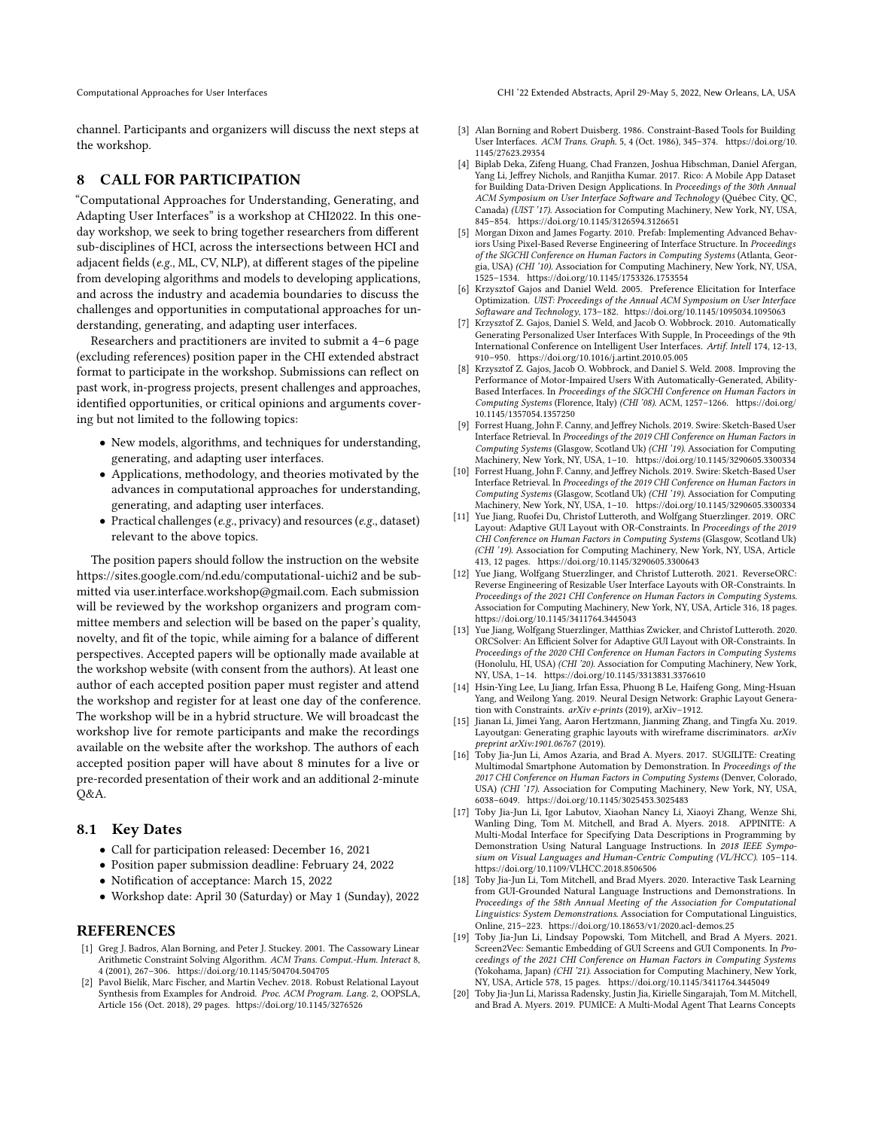Computational Approaches for User Interfaces CHI '22 Extended Abstracts, April 29-May 5, 2022, New Orleans, LA, USA

channel. Participants and organizers will discuss the next steps at the workshop.

# 8 CALL FOR PARTICIPATION

"Computational Approaches for Understanding, Generating, and Adapting User Interfaces" is a workshop at CHI2022. In this oneday workshop, we seek to bring together researchers from different sub-disciplines of HCI, across the intersections between HCI and adjacent fields (e.g., ML, CV, NLP), at different stages of the pipeline from developing algorithms and models to developing applications, and across the industry and academia boundaries to discuss the challenges and opportunities in computational approaches for understanding, generating, and adapting user interfaces.

Researchers and practitioners are invited to submit a 4–6 page (excluding references) position paper in the CHI extended abstract format to participate in the workshop. Submissions can reflect on past work, in-progress projects, present challenges and approaches, identified opportunities, or critical opinions and arguments covering but not limited to the following topics:

- New models, algorithms, and techniques for understanding, generating, and adapting user interfaces.
- Applications, methodology, and theories motivated by the advances in computational approaches for understanding, generating, and adapting user interfaces.
- Practical challenges (e.g., privacy) and resources (e.g., dataset) relevant to the above topics.

The position papers should follow the instruction on the website <https://sites.google.com/nd.edu/computational-uichi2> and be submitted via [user.interface.workshop@gmail.com.](user.interface.workshop@gmail.com) Each submission will be reviewed by the workshop organizers and program committee members and selection will be based on the paper's quality, novelty, and fit of the topic, while aiming for a balance of different perspectives. Accepted papers will be optionally made available at the workshop website (with consent from the authors). At least one author of each accepted position paper must register and attend the workshop and register for at least one day of the conference. The workshop will be in a hybrid structure. We will broadcast the workshop live for remote participants and make the recordings available on the website after the workshop. The authors of each accepted position paper will have about 8 minutes for a live or pre-recorded presentation of their work and an additional 2-minute Q&A.

#### 8.1 Key Dates

- Call for participation released: December 16, 2021
- Position paper submission deadline: February 24, 2022
- Notification of acceptance: March 15, 2022
- Workshop date: April 30 (Saturday) or May 1 (Sunday), 2022

#### REFERENCES

- <span id="page-5-12"></span>[1] Greg J. Badros, Alan Borning, and Peter J. Stuckey. 2001. The Cassowary Linear Arithmetic Constraint Solving Algorithm. ACM Trans. Comput.-Hum. Interact 8, 4 (2001), 267–306.<https://doi.org/10.1145/504704.504705>
- <span id="page-5-14"></span>[2] Pavol Bielik, Marc Fischer, and Martin Vechev. 2018. Robust Relational Layout Synthesis from Examples for Android. Proc. ACM Program. Lang. 2, OOPSLA, Article 156 (Oct. 2018), 29 pages.<https://doi.org/10.1145/3276526>
- <span id="page-5-0"></span>[3] Alan Borning and Robert Duisberg. 1986. Constraint-Based Tools for Building User Interfaces. ACM Trans. Graph. 5, 4 (Oct. 1986), 345–374. [https://doi.org/10.](https://doi.org/10.1145/27623.29354) [1145/27623.29354](https://doi.org/10.1145/27623.29354)
- <span id="page-5-9"></span>[4] Biplab Deka, Zifeng Huang, Chad Franzen, Joshua Hibschman, Daniel Afergan, Yang Li, Jeffrey Nichols, and Ranjitha Kumar. 2017. Rico: A Mobile App Dataset for Building Data-Driven Design Applications. In Proceedings of the 30th Annual ACM Symposium on User Interface Software and Technology (Québec City, QC, Canada) (UIST '17). Association for Computing Machinery, New York, NY, USA, 845–854.<https://doi.org/10.1145/3126594.3126651>
- <span id="page-5-13"></span>[5] Morgan Dixon and James Fogarty. 2010. Prefab: Implementing Advanced Behaviors Using Pixel-Based Reverse Engineering of Interface Structure. In Proceedings of the SIGCHI Conference on Human Factors in Computing Systems (Atlanta, Georgia, USA) (CHI '10). Association for Computing Machinery, New York, NY, USA, 1525–1534.<https://doi.org/10.1145/1753326.1753554>
- <span id="page-5-10"></span>[6] Krzysztof Gajos and Daniel Weld. 2005. Preference Elicitation for Interface Optimization. UIST: Proceedings of the Annual ACM Symposium on User Interface Softaware and Technology, 173–182.<https://doi.org/10.1145/1095034.1095063>
- <span id="page-5-1"></span>[7] Krzysztof Z. Gajos, Daniel S. Weld, and Jacob O. Wobbrock. 2010. Automatically Generating Personalized User Interfaces With Supple, In Proceedings of the 9th International Conference on Intelligent User Interfaces. Artif. Intell 174, 12-13, 910–950.<https://doi.org/10.1016/j.artint.2010.05.005>
- <span id="page-5-11"></span>Krzysztof Z. Gajos, Jacob O. Wobbrock, and Daniel S. Weld. 2008. Improving the Performance of Motor-Impaired Users With Automatically-Generated, Ability-Based Interfaces. In Proceedings of the SIGCHI Conference on Human Factors in Computing Systems (Florence, Italy) (CHI '08). ACM, 1257–1266. [https://doi.org/](https://doi.org/10.1145/1357054.1357250) [10.1145/1357054.1357250](https://doi.org/10.1145/1357054.1357250)
- <span id="page-5-4"></span>[9] Forrest Huang, John F. Canny, and Jeffrey Nichols. 2019. Swire: Sketch-Based User Interface Retrieval. In Proceedings of the 2019 CHI Conference on Human Factors in Computing Systems (Glasgow, Scotland Uk) (CHI '19). Association for Computing Machinery, New York, NY, USA, 1–10.<https://doi.org/10.1145/3290605.3300334>
- <span id="page-5-15"></span>[10] Forrest Huang, John F. Canny, and Jeffrey Nichols. 2019. Swire: Sketch-Based User Interface Retrieval. In Proceedings of the 2019 CHI Conference on Human Factors in Computing Systems (Glasgow, Scotland Uk) (CHI '19). Association for Computing Machinery, New York, NY, USA, 1–10.<https://doi.org/10.1145/3290605.3300334>
- <span id="page-5-7"></span>[11] Yue Jiang, Ruofei Du, Christof Lutteroth, and Wolfgang Stuerzlinger. 2019. ORC Layout: Adaptive GUI Layout with OR-Constraints. In Proceedings of the 2019 CHI Conference on Human Factors in Computing Systems (Glasgow, Scotland Uk) (CHI '19). Association for Computing Machinery, New York, NY, USA, Article 413, 12 pages.<https://doi.org/10.1145/3290605.3300643>
- <span id="page-5-2"></span>[12] Yue Jiang, Wolfgang Stuerzlinger, and Christof Lutteroth. 2021. ReverseORC: Reverse Engineering of Resizable User Interface Layouts with OR-Constraints. In Proceedings of the 2021 CHI Conference on Human Factors in Computing Systems. Association for Computing Machinery, New York, NY, USA, Article 316, 18 pages. <https://doi.org/10.1145/3411764.3445043>
- <span id="page-5-8"></span>[13] Yue Jiang, Wolfgang Stuerzlinger, Matthias Zwicker, and Christof Lutteroth. 2020. ORCSolver: An Efficient Solver for Adaptive GUI Layout with OR-Constraints. In Proceedings of the 2020 CHI Conference on Human Factors in Computing Systems (Honolulu, HI, USA) (CHI '20). Association for Computing Machinery, New York, NY, USA, 1–14.<https://doi.org/10.1145/3313831.3376610>
- <span id="page-5-5"></span>[14] Hsin-Ying Lee, Lu Jiang, Irfan Essa, Phuong B Le, Haifeng Gong, Ming-Hsuan Yang, and Weilong Yang. 2019. Neural Design Network: Graphic Layout Generation with Constraints. arXiv e-prints (2019), arXiv–1912.
- <span id="page-5-16"></span>[15] Jianan Li, Jimei Yang, Aaron Hertzmann, Jianming Zhang, and Tingfa Xu. 2019. Layoutgan: Generating graphic layouts with wireframe discriminators. arXiv preprint arXiv:1901.06767 (2019).
- <span id="page-5-6"></span>[16] Toby Jia-Jun Li, Amos Azaria, and Brad A. Myers. 2017. SUGILITE: Creating Multimodal Smartphone Automation by Demonstration. In Proceedings of the 2017 CHI Conference on Human Factors in Computing Systems (Denver, Colorado, USA) (CHI '17). Association for Computing Machinery, New York, NY, USA, 6038–6049.<https://doi.org/10.1145/3025453.3025483>
- <span id="page-5-17"></span>[17] Toby Jia-Jun Li, Igor Labutov, Xiaohan Nancy Li, Xiaoyi Zhang, Wenze Shi, Wanling Ding, Tom M. Mitchell, and Brad A. Myers. 2018. APPINITE: A Multi-Modal Interface for Specifying Data Descriptions in Programming by Demonstration Using Natural Language Instructions. In 2018 IEEE Symposium on Visual Languages and Human-Centric Computing (VL/HCC). 105–114. <https://doi.org/10.1109/VLHCC.2018.8506506>
- <span id="page-5-19"></span>[18] Toby Jia-Jun Li, Tom Mitchell, and Brad Myers. 2020. Interactive Task Learning from GUI-Grounded Natural Language Instructions and Demonstrations. In Proceedings of the 58th Annual Meeting of the Association for Computational Linguistics: System Demonstrations. Association for Computational Linguistics, Online, 215–223.<https://doi.org/10.18653/v1/2020.acl-demos.25>
- <span id="page-5-3"></span>[19] Toby Jia-Jun Li, Lindsay Popowski, Tom Mitchell, and Brad A Myers. 2021. Screen2Vec: Semantic Embedding of GUI Screens and GUI Components. In Proceedings of the 2021 CHI Conference on Human Factors in Computing Systems (Yokohama, Japan) (CHI '21). Association for Computing Machinery, New York, NY, USA, Article 578, 15 pages.<https://doi.org/10.1145/3411764.3445049>
- <span id="page-5-18"></span>[20] Toby Jia-Jun Li, Marissa Radensky, Justin Jia, Kirielle Singarajah, Tom M. Mitchell, and Brad A. Myers. 2019. PUMICE: A Multi-Modal Agent That Learns Concepts